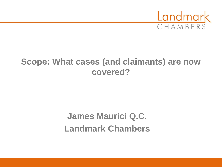

#### **Scope: What cases (and claimants) are now covered?**

# **James Maurici Q.C. Landmark Chambers**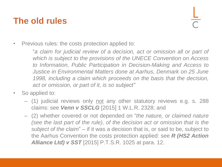#### **The old rules**

• Previous rules: the costs protection applied to:

"*a claim for judicial review of a decision, act or omission all or part of which is subject to the provisions of the UNECE Convention on Access to Information, Public Participation in Decision-Making and Access to Justice in Environmental Matters done at Aarhus, Denmark on 25 June 1998, including a claim which proceeds on the basis that the decision, act or omission, or part of it, is so subject"*

- So applied to:
	- (1) judicial reviews only not any other statutory reviews e.g. s. 288 claims: see *Venn v SSCLG* [2015] 1 W.L.R. 2328; and
	- (2) whether covered or not depended on "*the nature, or claimed nature (see the last part of the rule), of the decision act or omission that is the subject of the claim*" – if it was a decision that is, or said to be, subject to the Aarhus Convention the costs protection applied: see *R (HS2 Action Alliance Ltd) v SST* [2015] P.T.S.R. 1025 at para. 12.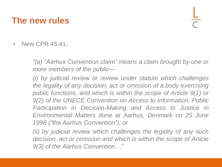#### **The new rules**

• New CPR 45.41:

*"(a) "Aarhus Convention claim" means a claim brought by one or more members of the public—*

*(i) by judicial review or review under statute which challenges the legality of any decision, act or omission of a body exercising public functions, and which is within the scope of Article 9(1) or 9(2) of the UNECE Convention on Access to Information, Public Participation in Decision-Making and Access to Justice in Environmental Matters done at Aarhus, Denmark on 25 June 1998 ("the Aarhus Convention"); or*

*(ii) by judicial review which challenges the legality of any such decision, act or omission and which is within the scope of Article 9(3) of the Aarhus Convention…"*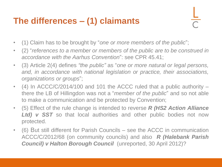## **The differences – (1) claimants**

- (1) Claim has to be brought by "*one or more members of the public*";
- (2) "*references to a member or members of the public are to be construed in accordance with the Aarhus Convention*": see CPR 45.41;
- (3) Article 2(4) defines *"the public"* as "*one or more natural or legal persons, and, in accordance with national legislation or practice, their associations, organizations or groups*";
- (4) In ACCC/C/2014/100 and 101 the ACCC ruled that a public authority there the LB of Hillingdon was not a "*member of the public*" and so not able to make a communication and be protected by Convention;
- (5) Effect of the rule change is intended to reverse *R (HS2 Action Alliance Ltd) v SST* so that local authorities and other public bodies not now protected.
- (6) But still different for Parish Councils see the ACCC in communication ACCC/C/2012/68 (on community councils) and also *R (Halebank Parish Council) v Halton Borough Council* (unreported, 30 April 2012)?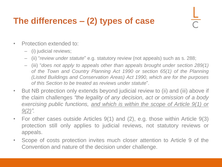## **The differences – (2) types of case**

- Protection extended to:
	- (i) judicial reviews;
	- (ii) "*review under statute*" e.g. statutory review (not appeals) such as s. 288;
	- (iii) "*does not apply to appeals other than appeals brought under section 289(1) of the Town and Country Planning Act 1990 or section 65(1) of the Planning (Listed Buildings and Conservation Areas) Act 1990, which are for the purposes of this Section to be treated as reviews under statute*".
- But NB protection only extends beyond judicial review to (ii) and (iii) above if the claim challenges *"the legality of any decision, act or omission of a body exercising public functions, and which is within the scope of Article 9(1) or 9(2)".*
- For other cases outside Articles 9(1) and (2), e.g. those within Article 9(3) protection still only applies to judicial reviews, not statutory reviews or appeals.
- Scope of costs protection invites much closer attention to Article 9 of the Convention and nature of the decision under challenge.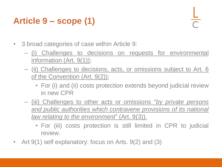## **Article 9 – scope (1)**

- 3 broad categories of case within Article 9:
	- (i) Challenges to decisions on requests for environmental information (Art. 9(1));
	- (ii) Challenges to decisions, acts, or omissions subject to Art. 6 of the Convention (Art. 9(2));
		- For (i) and (ii) costs protection extends beyond judicial review in new CPR
	- (iii) Challenges to other acts or omissions "*by private persons and public authorities which contravene provisions of its national law relating to the environment*" (Art. 9(3)).
		- For (iii) costs protection is still limited in CPR to judicial review.
- Art 9(1) self explanatory: focus on Arts. 9(2) and (3)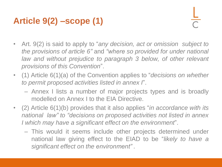## **Article 9(2) –scope (1)**

- Art. 9(2) is said to apply to "*any decision, act or omission subject to the provisions of article 6"* and *"where so provided for under national law and without prejudice to paragraph 3 below, of other relevant provisions of this Convention*".
- (1) Article 6(1)(a) of the Convention applies to "*decisions on whether to permit proposed activities listed in annex I*".
	- Annex I lists a number of major projects types and is broadly modelled on Annex I to the EIA Directive.
- (2) Article 6(1)(b) provides that it also applies "*in accordance with its national law" to "decisions on proposed activities not listed in annex I which may have a significant effect on the environment*".
	- This would it seems include other projects determined under national law giving effect to the EIAD to be "*likely to have a significant effect on the environment" .*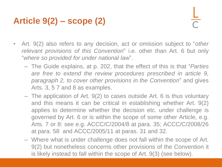## **Article 9(2) – scope (2)**

- Art. 9(2) also refers to any decision, act or omission subject to "*other relevant provisions of this Convention*" i.e. other than Art. 6 but only "*where so provided for under national law*".
	- The Guide explains, at p. 202, that the effect of this is that "*Parties are free to extend the review procedures prescribed in article 9, paragraph 2, to cover other provisions in the Convention*" and gives Arts. 3, 5 7 and 8 as examples.
	- The application of Art. 9(2) to cases outside Art. 6 is thus voluntary and this means it can be critical in establishing whether Art. 9(2) applies to determine whether the decision etc. under challenge is governed by Art. 6 or is within the scope of some other Article, e.g. Arts. 7 or 8: see e.g. ACCC/C/2004/8 at para. 35; ACCC/C/2008/26 at para. 58 and ACCC/2005/11 at paras. 31 and 32.
	- Where what is under challenge does not fall within the scope of Art. 9(2) but nonetheless concerns other provisions of the Convention it is likely instead to fall within the scope of Art. 9(3) (see below).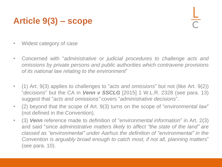### **Article 9(3) – scope**

- Widest category of case
- Concerned with "*administrative or judicial procedures to challenge acts and omissions by private persons and public authorities which contravene provisions of its national law relating to the environment*"
- (1) Art. 9(3) applies to challenges to "*acts and omissions*" but not (like Art. 9(2)) "*decisions*" but the CA in *Venn v SSCLG* [2015] 1 W.L.R. 2328 (see para. 13) suggest that "*acts and omissions"* covers "*administrative decisions*".
- (2) beyond that the scope of Art. 9(3) turns on the scope of "*environmental law*" (not defined in the Convention).
- (3) *Venn* reference made to definition of "*environmental information*" in Art. 2(3) and said "*since administrative matters likely to affect "the state of the land" are classed as "environmental" under Aarhus the definition of "environmental" in the Convention is arguably broad enough to catch most, if not all, planning matters*" (see para. 10).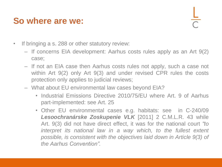#### **So where are we:**

- If bringing a s. 288 or other statutory review:
	- If concerns EIA development: Aarhus costs rules apply as an Art 9(2) case;
	- If not an EIA case then Aarhus costs rules not apply, such a case not within Art 9(2) only Art 9(3) and under revised CPR rules the costs protection only applies to judicial reviews;
	- What about EU environmental law cases beyond EIA?
		- Industrial Emissions Directive 2010/75/EU where Art. 9 of Aarhus part-implemented: see Art. 25
		- Other EU environmental cases e.g. habitats: see in C-240/09 *Lesoochranárske Zoskupenie VLK* [2011] 2 C.M.L.R. 43 while Art. 9(3) did not have direct effect, it was for the national court *"to interpret its national law in a way which, to the fullest extent possible, is consistent with the objectives laid down in Article 9(3) of the Aarhus Convention".*